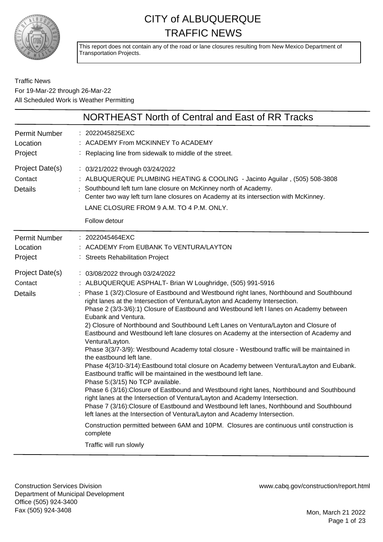

This report does not contain any of the road or lane closures resulting from New Mexico Department of Transportation Projects.

### Traffic News For 19-Mar-22 through 26-Mar-22 All Scheduled Work is Weather Permitting

|                                              | NORTHEAST North of Central and East of RR Tracks                                                                                                                                                                                                                                                                                                                                                                                                                                                                                                                                                                                                                                                                                                                                                                                                                                                                                                                                                                                                                                                                                                                                                                                                                                                                                                                                                                           |
|----------------------------------------------|----------------------------------------------------------------------------------------------------------------------------------------------------------------------------------------------------------------------------------------------------------------------------------------------------------------------------------------------------------------------------------------------------------------------------------------------------------------------------------------------------------------------------------------------------------------------------------------------------------------------------------------------------------------------------------------------------------------------------------------------------------------------------------------------------------------------------------------------------------------------------------------------------------------------------------------------------------------------------------------------------------------------------------------------------------------------------------------------------------------------------------------------------------------------------------------------------------------------------------------------------------------------------------------------------------------------------------------------------------------------------------------------------------------------------|
| <b>Permit Number</b><br>Location<br>Project  | : 2022045825EXC<br>ACADEMY From MCKINNEY To ACADEMY<br>Replacing line from sidewalk to middle of the street.                                                                                                                                                                                                                                                                                                                                                                                                                                                                                                                                                                                                                                                                                                                                                                                                                                                                                                                                                                                                                                                                                                                                                                                                                                                                                                               |
| Project Date(s)<br>Contact<br><b>Details</b> | : 03/21/2022 through 03/24/2022<br>: ALBUQUERQUE PLUMBING HEATING & COOLING - Jacinto Aguilar, (505) 508-3808<br>Southbound left turn lane closure on McKinney north of Academy.<br>Center two way left turn lane closures on Academy at its intersection with McKinney.<br>LANE CLOSURE FROM 9 A.M. TO 4 P.M. ONLY.<br>Follow detour                                                                                                                                                                                                                                                                                                                                                                                                                                                                                                                                                                                                                                                                                                                                                                                                                                                                                                                                                                                                                                                                                      |
| Permit Number<br>Location<br>Project         | : 2022045464EXC<br>ACADEMY From EUBANK To VENTURA/LAYTON<br>: Streets Rehabilitation Project                                                                                                                                                                                                                                                                                                                                                                                                                                                                                                                                                                                                                                                                                                                                                                                                                                                                                                                                                                                                                                                                                                                                                                                                                                                                                                                               |
| Project Date(s)<br>Contact<br><b>Details</b> | : 03/08/2022 through 03/24/2022<br>: ALBUQUERQUE ASPHALT- Brian W Loughridge, (505) 991-5916<br>Phase 1 (3/2): Closure of Eastbound and Westbound right lanes, Northbound and Southbound<br>right lanes at the Intersection of Ventura/Layton and Academy Intersection.<br>Phase 2 (3/3-3/6):1) Closure of Eastbound and Westbound left I lanes on Academy between<br>Eubank and Ventura.<br>2) Closure of Northbound and Southbound Left Lanes on Ventura/Layton and Closure of<br>Eastbound and Westbound left lane closures on Academy at the intersection of Academy and<br>Ventura/Layton.<br>Phase 3(3/7-3/9): Westbound Academy total closure - Westbound traffic will be maintained in<br>the eastbound left lane.<br>Phase 4(3/10-3/14): Eastbound total closure on Academy between Ventura/Layton and Eubank.<br>Eastbound traffic will be maintained in the westbound left lane.<br>Phase 5:(3/15) No TCP available.<br>Phase 6 (3/16): Closure of Eastbound and Westbound right lanes, Northbound and Southbound<br>right lanes at the Intersection of Ventura/Layton and Academy Intersection.<br>Phase 7 (3/16): Closure of Eastbound and Westbound left lanes, Northbound and Southbound<br>left lanes at the Intersection of Ventura/Layton and Academy Intersection.<br>Construction permitted between 6AM and 10PM. Closures are continuous until construction is<br>complete<br>Traffic will run slowly |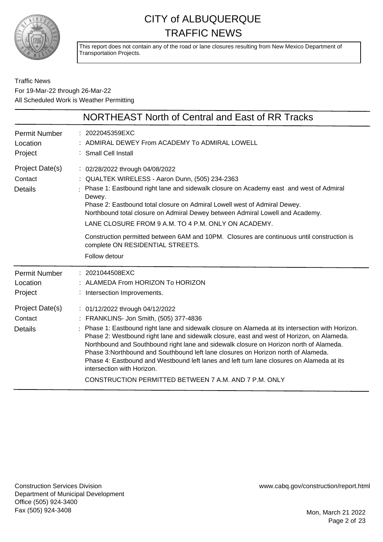

This report does not contain any of the road or lane closures resulting from New Mexico Department of Transportation Projects.

Traffic News For 19-Mar-22 through 26-Mar-22 All Scheduled Work is Weather Permitting

|                                              | NORTHEAST North of Central and East of RR Tracks                                                                                                                                                                                                                                                                                                                                                                                                                                                                                                                                                                                                |
|----------------------------------------------|-------------------------------------------------------------------------------------------------------------------------------------------------------------------------------------------------------------------------------------------------------------------------------------------------------------------------------------------------------------------------------------------------------------------------------------------------------------------------------------------------------------------------------------------------------------------------------------------------------------------------------------------------|
| <b>Permit Number</b><br>Location<br>Project  | 2022045359EXC<br>: ADMIRAL DEWEY From ACADEMY To ADMIRAL LOWELL<br>: Small Cell Install                                                                                                                                                                                                                                                                                                                                                                                                                                                                                                                                                         |
| Project Date(s)<br>Contact<br><b>Details</b> | : 02/28/2022 through 04/08/2022<br>: QUALTEK WIRELESS - Aaron Dunn, (505) 234-2363<br>Phase 1: Eastbound right lane and sidewalk closure on Academy east and west of Admiral<br>Dewey.<br>Phase 2: Eastbound total closure on Admiral Lowell west of Admiral Dewey.<br>Northbound total closure on Admiral Dewey between Admiral Lowell and Academy.<br>LANE CLOSURE FROM 9 A.M. TO 4 P.M. ONLY ON ACADEMY.<br>Construction permitted between 6AM and 10PM. Closures are continuous until construction is<br>complete ON RESIDENTIAL STREETS.<br>Follow detour                                                                                  |
| <b>Permit Number</b><br>Location<br>Project  | : 2021044508EXC<br>: ALAMEDA From HORIZON To HORIZON<br>: Intersection Improvements.                                                                                                                                                                                                                                                                                                                                                                                                                                                                                                                                                            |
| Project Date(s)<br>Contact<br><b>Details</b> | : 01/12/2022 through 04/12/2022<br>: FRANKLINS- Jon Smith, (505) 377-4836<br>: Phase 1: Eastbound right lane and sidewalk closure on Alameda at its intersection with Horizon.<br>Phase 2: Westbound right lane and sidewalk closure, east and west of Horizon, on Alameda.<br>Northbound and Southbound right lane and sidewalk closure on Horizon north of Alameda.<br>Phase 3: Northbound and Southbound left lane closures on Horizon north of Alameda.<br>Phase 4: Eastbound and Westbound left lanes and left turn lane closures on Alameda at its<br>intersection with Horizon.<br>CONSTRUCTION PERMITTED BETWEEN 7 A.M. AND 7 P.M. ONLY |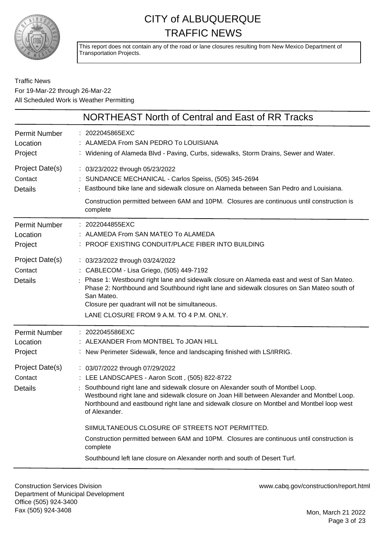

This report does not contain any of the road or lane closures resulting from New Mexico Department of Transportation Projects.

### Traffic News For 19-Mar-22 through 26-Mar-22 All Scheduled Work is Weather Permitting

| : 2022045865EXC<br>: ALAMEDA From SAN PEDRO To LOUISIANA<br>: Widening of Alameda Blvd - Paving, Curbs, sidewalks, Storm Drains, Sewer and Water.                                                                                                                                                                                                                                                                                                                                                                                                                                                                         |
|---------------------------------------------------------------------------------------------------------------------------------------------------------------------------------------------------------------------------------------------------------------------------------------------------------------------------------------------------------------------------------------------------------------------------------------------------------------------------------------------------------------------------------------------------------------------------------------------------------------------------|
| : 03/23/2022 through 05/23/2022<br>: SUNDANCE MECHANICAL - Carlos Speiss, (505) 345-2694<br>: Eastbound bike lane and sidewalk closure on Alameda between San Pedro and Louisiana.<br>Construction permitted between 6AM and 10PM. Closures are continuous until construction is<br>complete                                                                                                                                                                                                                                                                                                                              |
| : 2022044855EXC<br>: ALAMEDA From SAN MATEO To ALAMEDA<br>: PROOF EXISTING CONDUIT/PLACE FIBER INTO BUILDING                                                                                                                                                                                                                                                                                                                                                                                                                                                                                                              |
| : 03/23/2022 through 03/24/2022<br>: CABLECOM - Lisa Griego, (505) 449-7192<br>Phase 1: Westbound right lane and sidewalk closure on Alameda east and west of San Mateo.<br>Phase 2: Northbound and Southbound right lane and sidewalk closures on San Mateo south of<br>San Mateo.<br>Closure per quadrant will not be simultaneous.<br>LANE CLOSURE FROM 9 A.M. TO 4 P.M. ONLY.                                                                                                                                                                                                                                         |
| : 2022045586EXC<br>: ALEXANDER From MONTBEL To JOAN HILL<br>: New Perimeter Sidewalk, fence and landscaping finished with LS/IRRIG.                                                                                                                                                                                                                                                                                                                                                                                                                                                                                       |
| : 03/07/2022 through 07/29/2022<br>: LEE LANDSCAPES - Aaron Scott, (505) 822-8722<br>Southbound right lane and sidewalk closure on Alexander south of Montbel Loop.<br>Westbound right lane and sidewalk closure on Joan Hill between Alexander and Montbel Loop.<br>Northbound and eastbound right lane and sidewalk closure on Montbel and Montbel loop west<br>of Alexander.<br>SIIMULTANEOUS CLOSURE OF STREETS NOT PERMITTED.<br>Construction permitted between 6AM and 10PM. Closures are continuous until construction is<br>complete<br>Southbound left lane closure on Alexander north and south of Desert Turf. |
|                                                                                                                                                                                                                                                                                                                                                                                                                                                                                                                                                                                                                           |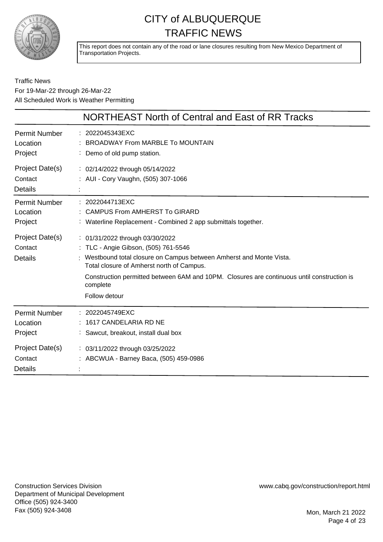

This report does not contain any of the road or lane closures resulting from New Mexico Department of Transportation Projects.

### Traffic News For 19-Mar-22 through 26-Mar-22 All Scheduled Work is Weather Permitting

|                                              | NORTHEAST North of Central and East of RR Tracks                                                                                                                                                                                                                                                                        |
|----------------------------------------------|-------------------------------------------------------------------------------------------------------------------------------------------------------------------------------------------------------------------------------------------------------------------------------------------------------------------------|
| <b>Permit Number</b><br>Location<br>Project  | : 2022045343EXC<br><b>BROADWAY From MARBLE To MOUNTAIN</b><br>: Demo of old pump station.                                                                                                                                                                                                                               |
| Project Date(s)<br>Contact<br><b>Details</b> | : 02/14/2022 through 05/14/2022<br>: AUI - Cory Vaughn, (505) 307-1066                                                                                                                                                                                                                                                  |
| <b>Permit Number</b><br>Location<br>Project  | : 2022044713EXC<br><b>CAMPUS From AMHERST To GIRARD</b><br>: Waterline Replacement - Combined 2 app submittals together.                                                                                                                                                                                                |
| Project Date(s)<br>Contact<br><b>Details</b> | : 01/31/2022 through 03/30/2022<br>: TLC - Angie Gibson, (505) 761-5546<br>: Westbound total closure on Campus between Amherst and Monte Vista.<br>Total closure of Amherst north of Campus.<br>Construction permitted between 6AM and 10PM. Closures are continuous until construction is<br>complete<br>Follow detour |
| <b>Permit Number</b><br>Location<br>Project  | 2022045749EXC<br>1617 CANDELARIA RD NE<br>: Sawcut, breakout, install dual box                                                                                                                                                                                                                                          |
| Project Date(s)<br>Contact<br><b>Details</b> | : 03/11/2022 through 03/25/2022<br>: ABCWUA - Barney Baca, (505) 459-0986                                                                                                                                                                                                                                               |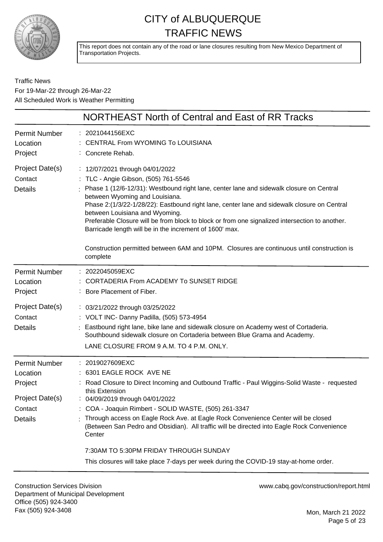

This report does not contain any of the road or lane closures resulting from New Mexico Department of Transportation Projects.

### Traffic News For 19-Mar-22 through 26-Mar-22 All Scheduled Work is Weather Permitting

|                                                                                      | NORTHEAST North of Central and East of RR Tracks                                                                                                                                                                                                                                                                                                                                                                                                                                                                                                                                                             |
|--------------------------------------------------------------------------------------|--------------------------------------------------------------------------------------------------------------------------------------------------------------------------------------------------------------------------------------------------------------------------------------------------------------------------------------------------------------------------------------------------------------------------------------------------------------------------------------------------------------------------------------------------------------------------------------------------------------|
| <b>Permit Number</b><br>Location<br>Project                                          | : 2021044156EXC<br><b>CENTRAL From WYOMING To LOUISIANA</b><br>: Concrete Rehab.                                                                                                                                                                                                                                                                                                                                                                                                                                                                                                                             |
| Project Date(s)<br>Contact<br><b>Details</b>                                         | : 12/07/2021 through 04/01/2022<br>: TLC - Angie Gibson, (505) 761-5546<br>Phase 1 (12/6-12/31): Westbound right lane, center lane and sidewalk closure on Central<br>between Wyoming and Louisiana.<br>Phase 2:(1/3/22-1/28/22): Eastbound right lane, center lane and sidewalk closure on Central<br>between Louisiana and Wyoming.<br>Preferable Closure will be from block to block or from one signalized intersection to another.<br>Barricade length will be in the increment of 1600' max.<br>Construction permitted between 6AM and 10PM. Closures are continuous until construction is<br>complete |
| <b>Permit Number</b><br>Location<br>Project                                          | : 2022045059EXC<br><b>CORTADERIA From ACADEMY To SUNSET RIDGE</b><br>: Bore Placement of Fiber.                                                                                                                                                                                                                                                                                                                                                                                                                                                                                                              |
| Project Date(s)<br>Contact<br><b>Details</b>                                         | : 03/21/2022 through 03/25/2022<br>: VOLT INC- Danny Padilla, (505) 573-4954<br>: Eastbound right lane, bike lane and sidewalk closure on Academy west of Cortaderia.<br>Southbound sidewalk closure on Cortaderia between Blue Grama and Academy.<br>LANE CLOSURE FROM 9 A.M. TO 4 P.M. ONLY.                                                                                                                                                                                                                                                                                                               |
| <b>Permit Number</b><br>Location<br>Project<br>Project Date(s)<br>Contact<br>Details | : 2019027609EXC<br>: 6301 EAGLE ROCK AVE NE<br>: Road Closure to Direct Incoming and Outbound Traffic - Paul Wiggins-Solid Waste - requested<br>this Extension<br>04/09/2019 through 04/01/2022<br>: COA - Joaquin Rimbert - SOLID WASTE, (505) 261-3347<br>: Through access on Eagle Rock Ave. at Eagle Rock Convenience Center will be closed<br>(Between San Pedro and Obsidian). All traffic will be directed into Eagle Rock Convenience<br>Center<br>7:30AM TO 5:30PM FRIDAY THROUGH SUNDAY                                                                                                            |
|                                                                                      | This closures will take place 7-days per week during the COVID-19 stay-at-home order.                                                                                                                                                                                                                                                                                                                                                                                                                                                                                                                        |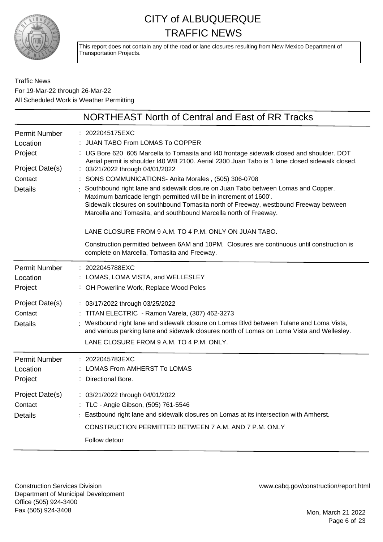

This report does not contain any of the road or lane closures resulting from New Mexico Department of Transportation Projects.

### Traffic News For 19-Mar-22 through 26-Mar-22 All Scheduled Work is Weather Permitting

|                                              | NORTHEAST North of Central and East of RR Tracks                                                                                                                                                                                                                                                                                                                         |
|----------------------------------------------|--------------------------------------------------------------------------------------------------------------------------------------------------------------------------------------------------------------------------------------------------------------------------------------------------------------------------------------------------------------------------|
| <b>Permit Number</b><br>Location             | 2022045175EXC<br><b>JUAN TABO From LOMAS To COPPER</b>                                                                                                                                                                                                                                                                                                                   |
| Project<br>Project Date(s)                   | : UG Bore 620 605 Marcella to Tomasita and I40 frontage sidewalk closed and shoulder. DOT<br>Aerial permit is shoulder I40 WB 2100. Aerial 2300 Juan Tabo is 1 lane closed sidewalk closed.<br>: 03/21/2022 through 04/01/2022                                                                                                                                           |
| Contact<br><b>Details</b>                    | SONS COMMUNICATIONS- Anita Morales, (505) 306-0708<br>Southbound right lane and sidewalk closure on Juan Tabo between Lomas and Copper.<br>Maximum barricade length permitted will be in increment of 1600'.<br>Sidewalk closures on southbound Tomasita north of Freeway, westbound Freeway between<br>Marcella and Tomasita, and southbound Marcella north of Freeway. |
|                                              | LANE CLOSURE FROM 9 A.M. TO 4 P.M. ONLY ON JUAN TABO.                                                                                                                                                                                                                                                                                                                    |
|                                              | Construction permitted between 6AM and 10PM. Closures are continuous until construction is<br>complete on Marcella, Tomasita and Freeway.                                                                                                                                                                                                                                |
| <b>Permit Number</b><br>Location<br>Project  | : 2022045788EXC<br>LOMAS, LOMA VISTA, and WELLESLEY<br>: OH Powerline Work, Replace Wood Poles                                                                                                                                                                                                                                                                           |
| Project Date(s)<br>Contact<br><b>Details</b> | : 03/17/2022 through 03/25/2022<br>: TITAN ELECTRIC - Ramon Varela, (307) 462-3273<br>Westbound right lane and sidewalk closure on Lomas Blvd between Tulane and Loma Vista,<br>and various parking lane and sidewalk closures north of Lomas on Loma Vista and Wellesley.<br>LANE CLOSURE FROM 9 A.M. TO 4 P.M. ONLY.                                                   |
| <b>Permit Number</b><br>Location<br>Project  | 2022045783EXC<br>LOMAS From AMHERST To LOMAS<br>Directional Bore.                                                                                                                                                                                                                                                                                                        |
| Project Date(s)<br>Contact<br><b>Details</b> | : 03/21/2022 through 04/01/2022<br>: TLC - Angie Gibson, (505) 761-5546<br>Eastbound right lane and sidewalk closures on Lomas at its intersection with Amherst.                                                                                                                                                                                                         |
|                                              | CONSTRUCTION PERMITTED BETWEEN 7 A.M. AND 7 P.M. ONLY                                                                                                                                                                                                                                                                                                                    |
|                                              | Follow detour                                                                                                                                                                                                                                                                                                                                                            |

Construction Services Division Department of Municipal Development Office (505) 924-3400 Fax (505) 924-3408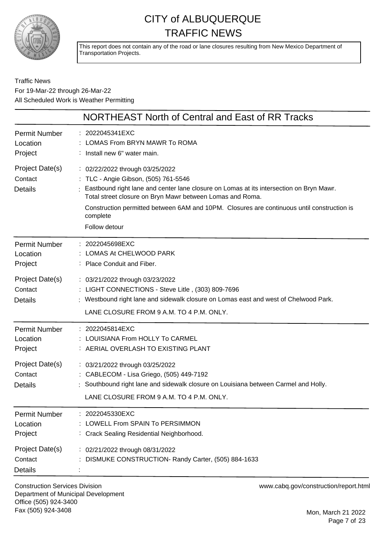

This report does not contain any of the road or lane closures resulting from New Mexico Department of Transportation Projects.

Traffic News For 19-Mar-22 through 26-Mar-22 All Scheduled Work is Weather Permitting

|                                              | NORTHEAST North of Central and East of RR Tracks                                                                                                                                                                                                                                                                                                           |
|----------------------------------------------|------------------------------------------------------------------------------------------------------------------------------------------------------------------------------------------------------------------------------------------------------------------------------------------------------------------------------------------------------------|
| <b>Permit Number</b><br>Location<br>Project  | : 2022045341EXC<br>LOMAS From BRYN MAWR To ROMA<br>: Install new 6" water main.                                                                                                                                                                                                                                                                            |
| Project Date(s)<br>Contact<br><b>Details</b> | : 02/22/2022 through 03/25/2022<br>: TLC - Angie Gibson, (505) 761-5546<br>Eastbound right lane and center lane closure on Lomas at its intersection on Bryn Mawr.<br>Total street closure on Bryn Mawr between Lomas and Roma.<br>Construction permitted between 6AM and 10PM. Closures are continuous until construction is<br>complete<br>Follow detour |
| <b>Permit Number</b><br>Location<br>Project  | : 2022045698EXC<br>LOMAS At CHELWOOD PARK<br>: Place Conduit and Fiber.                                                                                                                                                                                                                                                                                    |
| Project Date(s)<br>Contact<br>Details        | : 03/21/2022 through 03/23/2022<br>: LIGHT CONNECTIONS - Steve Litle, (303) 809-7696<br>: Westbound right lane and sidewalk closure on Lomas east and west of Chelwood Park.<br>LANE CLOSURE FROM 9 A.M. TO 4 P.M. ONLY.                                                                                                                                   |
| <b>Permit Number</b><br>Location<br>Project  | : 2022045814EXC<br>: LOUISIANA From HOLLY To CARMEL<br>: AERIAL OVERLASH TO EXISTING PLANT                                                                                                                                                                                                                                                                 |
| Project Date(s)<br>Contact<br><b>Details</b> | : 03/21/2022 through 03/25/2022<br>: CABLECOM - Lisa Griego, (505) 449-7192<br>Southbound right lane and sidewalk closure on Louisiana between Carmel and Holly.<br>LANE CLOSURE FROM 9 A.M. TO 4 P.M. ONLY.                                                                                                                                               |
| <b>Permit Number</b><br>Location<br>Project  | 2022045330EXC<br>LOWELL From SPAIN To PERSIMMON<br>: Crack Sealing Residential Neighborhood.                                                                                                                                                                                                                                                               |
| Project Date(s)<br>Contact<br><b>Details</b> | : 02/21/2022 through 08/31/2022<br>DISMUKE CONSTRUCTION- Randy Carter, (505) 884-1633                                                                                                                                                                                                                                                                      |

Construction Services Division Department of Municipal Development Office (505) 924-3400 Fax (505) 924-3408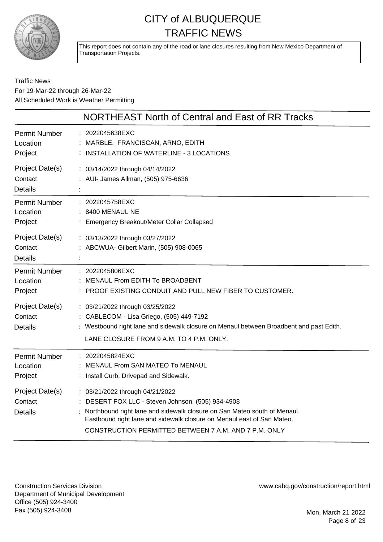

This report does not contain any of the road or lane closures resulting from New Mexico Department of Transportation Projects.

### Traffic News For 19-Mar-22 through 26-Mar-22 All Scheduled Work is Weather Permitting

|                                              | NORTHEAST North of Central and East of RR Tracks                                                                                                                                                                                                                                                  |
|----------------------------------------------|---------------------------------------------------------------------------------------------------------------------------------------------------------------------------------------------------------------------------------------------------------------------------------------------------|
| <b>Permit Number</b><br>Location<br>Project  | : 2022045638EXC<br>MARBLE, FRANCISCAN, ARNO, EDITH<br>: INSTALLATION OF WATERLINE - 3 LOCATIONS.                                                                                                                                                                                                  |
| Project Date(s)<br>Contact<br><b>Details</b> | : 03/14/2022 through 04/14/2022<br>: AUI- James Allman, (505) 975-6636                                                                                                                                                                                                                            |
| <b>Permit Number</b><br>Location<br>Project  | : 2022045758EXC<br>8400 MENAUL NE<br>Emergency Breakout/Meter Collar Collapsed                                                                                                                                                                                                                    |
| Project Date(s)<br>Contact<br><b>Details</b> | : 03/13/2022 through 03/27/2022<br>ABCWUA- Gilbert Marin, (505) 908-0065                                                                                                                                                                                                                          |
| <b>Permit Number</b><br>Location<br>Project  | 2022045806EXC<br>MENAUL From EDITH To BROADBENT<br>PROOF EXISTING CONDUIT AND PULL NEW FIBER TO CUSTOMER.                                                                                                                                                                                         |
| Project Date(s)<br>Contact<br><b>Details</b> | : 03/21/2022 through 03/25/2022<br>: CABLECOM - Lisa Griego, (505) 449-7192<br>: Westbound right lane and sidewalk closure on Menaul between Broadbent and past Edith.<br>LANE CLOSURE FROM 9 A.M. TO 4 P.M. ONLY.                                                                                |
| <b>Permit Number</b><br>Location<br>Project  | : 2022045824EXC<br><b>MENAUL From SAN MATEO To MENAUL</b><br>: Install Curb, Drivepad and Sidewalk.                                                                                                                                                                                               |
| Project Date(s)<br>Contact<br><b>Details</b> | : 03/21/2022 through 04/21/2022<br>DESERT FOX LLC - Steven Johnson, (505) 934-4908<br>Northbound right lane and sidewalk closure on San Mateo south of Menaul.<br>Eastbound right lane and sidewalk closure on Menaul east of San Mateo.<br>CONSTRUCTION PERMITTED BETWEEN 7 A.M. AND 7 P.M. ONLY |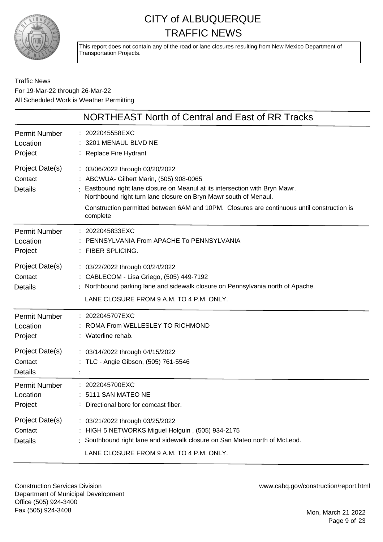

This report does not contain any of the road or lane closures resulting from New Mexico Department of Transportation Projects.

Traffic News For 19-Mar-22 through 26-Mar-22 All Scheduled Work is Weather Permitting

|                                              | <b>NORTHEAST North of Central and East of RR Tracks</b>                                                                                                                                                                                                                                                                                |
|----------------------------------------------|----------------------------------------------------------------------------------------------------------------------------------------------------------------------------------------------------------------------------------------------------------------------------------------------------------------------------------------|
| <b>Permit Number</b><br>Location<br>Project  | : 2022045558EXC<br>3201 MENAUL BLVD NE<br>: Replace Fire Hydrant                                                                                                                                                                                                                                                                       |
| Project Date(s)<br>Contact<br><b>Details</b> | : 03/06/2022 through 03/20/2022<br>: ABCWUA- Gilbert Marin, (505) 908-0065<br>Eastbound right lane closure on Meanul at its intersection with Bryn Mawr.<br>Northbound right turn lane closure on Bryn Mawr south of Menaul.<br>Construction permitted between 6AM and 10PM. Closures are continuous until construction is<br>complete |
| <b>Permit Number</b><br>Location<br>Project  | : 2022045833EXC<br>PENNSYLVANIA From APACHE To PENNSYLVANIA<br>: FIBER SPLICING.                                                                                                                                                                                                                                                       |
| Project Date(s)<br>Contact<br><b>Details</b> | : 03/22/2022 through 03/24/2022<br>: CABLECOM - Lisa Griego, (505) 449-7192<br>Northbound parking lane and sidewalk closure on Pennsylvania north of Apache.<br>LANE CLOSURE FROM 9 A.M. TO 4 P.M. ONLY.                                                                                                                               |
| Permit Number<br>Location<br>Project         | : 2022045707EXC<br>ROMA From WELLESLEY TO RICHMOND<br>Waterline rehab.                                                                                                                                                                                                                                                                 |
| Project Date(s)<br>Contact<br><b>Details</b> | : 03/14/2022 through 04/15/2022<br>: TLC - Angie Gibson, (505) 761-5546                                                                                                                                                                                                                                                                |
| <b>Permit Number</b><br>Location<br>Project  | 2022045700EXC<br>5111 SAN MATEO NE<br>Directional bore for comcast fiber.                                                                                                                                                                                                                                                              |
| Project Date(s)<br>Contact<br><b>Details</b> | : 03/21/2022 through 03/25/2022<br>: HIGH 5 NETWORKS Miguel Holguin, (505) 934-2175<br>Southbound right lane and sidewalk closure on San Mateo north of McLeod.<br>LANE CLOSURE FROM 9 A.M. TO 4 P.M. ONLY.                                                                                                                            |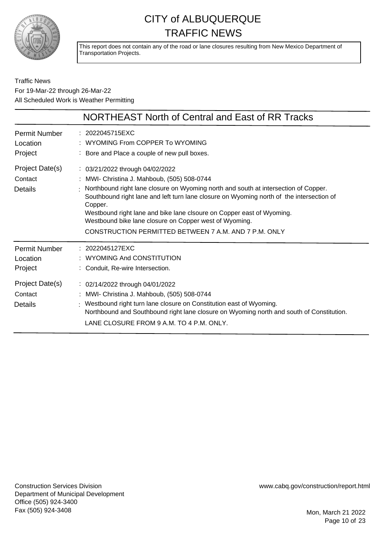

This report does not contain any of the road or lane closures resulting from New Mexico Department of Transportation Projects.

### Traffic News For 19-Mar-22 through 26-Mar-22 All Scheduled Work is Weather Permitting

|                                             | NORTHEAST North of Central and East of RR Tracks                                                                                                                                                                                                                                                                                                                                                                                                                       |
|---------------------------------------------|------------------------------------------------------------------------------------------------------------------------------------------------------------------------------------------------------------------------------------------------------------------------------------------------------------------------------------------------------------------------------------------------------------------------------------------------------------------------|
| Permit Number<br>Location<br>Project        | : 2022045715EXC<br>WYOMING From COPPER To WYOMING<br>Bore and Place a couple of new pull boxes.                                                                                                                                                                                                                                                                                                                                                                        |
| Project Date(s)<br>Contact<br>Details       | : 03/21/2022 through 04/02/2022<br>MWI- Christina J. Mahboub, (505) 508-0744<br>Northbound right lane closure on Wyoming north and south at intersection of Copper.<br>Southbound right lane and left turn lane closure on Wyoming north of the intersection of<br>Copper.<br>Westbound right lane and bike lane clsoure on Copper east of Wyoming.<br>Westbound bike lane closure on Copper west of Wyoming.<br>CONSTRUCTION PERMITTED BETWEEN 7 A.M. AND 7 P.M. ONLY |
| <b>Permit Number</b><br>Location<br>Project | : 2022045127EXC<br>WYOMING And CONSTITUTION<br>Conduit, Re-wire Intersection.                                                                                                                                                                                                                                                                                                                                                                                          |
| Project Date(s)<br>Contact<br>Details       | : 02/14/2022 through 04/01/2022<br>MWI- Christina J. Mahboub, (505) 508-0744<br>Westbound right turn lane closure on Constitution east of Wyoming.<br>Northbound and Southbound right lane closure on Wyoming north and south of Constitution.<br>LANE CLOSURE FROM 9 A.M. TO 4 P.M. ONLY.                                                                                                                                                                             |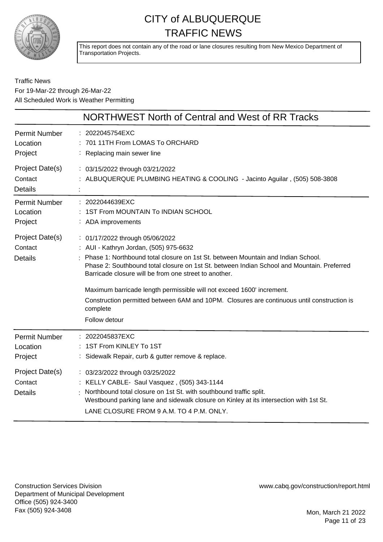

This report does not contain any of the road or lane closures resulting from New Mexico Department of Transportation Projects.

### Traffic News For 19-Mar-22 through 26-Mar-22 All Scheduled Work is Weather Permitting

|                                              | NORTHWEST North of Central and West of RR Tracks                                                                                                                                                                                                                                                                                                                                                                                                                                                                           |
|----------------------------------------------|----------------------------------------------------------------------------------------------------------------------------------------------------------------------------------------------------------------------------------------------------------------------------------------------------------------------------------------------------------------------------------------------------------------------------------------------------------------------------------------------------------------------------|
| <b>Permit Number</b><br>Location<br>Project  | : 2022045754EXC<br>701 11TH From LOMAS To ORCHARD<br>: Replacing main sewer line                                                                                                                                                                                                                                                                                                                                                                                                                                           |
| Project Date(s)<br>Contact<br><b>Details</b> | : 03/15/2022 through 03/21/2022<br>: ALBUQUERQUE PLUMBING HEATING & COOLING - Jacinto Aguilar, (505) 508-3808                                                                                                                                                                                                                                                                                                                                                                                                              |
| <b>Permit Number</b><br>Location<br>Project  | : 2022044639EXC<br>: 1ST From MOUNTAIN To INDIAN SCHOOL<br>: ADA improvements                                                                                                                                                                                                                                                                                                                                                                                                                                              |
| Project Date(s)<br>Contact<br><b>Details</b> | : 01/17/2022 through 05/06/2022<br>: AUI - Kathryn Jordan, (505) 975-6632<br>: Phase 1: Northbound total closure on 1st St. between Mountain and Indian School.<br>Phase 2: Southbound total closure on 1st St. between Indian School and Mountain. Preferred<br>Barricade closure will be from one street to another.<br>Maximum barricade length permissible will not exceed 1600' increment.<br>Construction permitted between 6AM and 10PM. Closures are continuous until construction is<br>complete<br>Follow detour |
| <b>Permit Number</b><br>Location<br>Project  | : 2022045837EXC<br>: 1ST From KINLEY To 1ST<br>: Sidewalk Repair, curb & gutter remove & replace.                                                                                                                                                                                                                                                                                                                                                                                                                          |
| Project Date(s)<br>Contact<br>Details        | : 03/23/2022 through 03/25/2022<br>: KELLY CABLE- Saul Vasquez, (505) 343-1144<br>Northbound total closure on 1st St. with southbound traffic split.<br>Westbound parking lane and sidewalk closure on Kinley at its intersection with 1st St.<br>LANE CLOSURE FROM 9 A.M. TO 4 P.M. ONLY.                                                                                                                                                                                                                                 |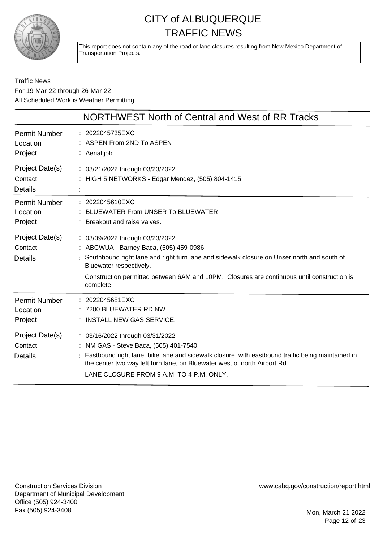

This report does not contain any of the road or lane closures resulting from New Mexico Department of Transportation Projects.

Traffic News For 19-Mar-22 through 26-Mar-22 All Scheduled Work is Weather Permitting

|                                              | NORTHWEST North of Central and West of RR Tracks                                                                                                                                                                                                                                                             |
|----------------------------------------------|--------------------------------------------------------------------------------------------------------------------------------------------------------------------------------------------------------------------------------------------------------------------------------------------------------------|
| <b>Permit Number</b><br>Location<br>Project  | : 2022045735EXC<br>: ASPEN From 2ND To ASPEN<br>: Aerial job.                                                                                                                                                                                                                                                |
| Project Date(s)<br>Contact<br><b>Details</b> | : 03/21/2022 through 03/23/2022<br>: HIGH 5 NETWORKS - Edgar Mendez, (505) 804-1415                                                                                                                                                                                                                          |
| <b>Permit Number</b><br>Location<br>Project  | 2022045610EXC<br><b>BLUEWATER From UNSER To BLUEWATER</b><br>Breakout and raise valves.                                                                                                                                                                                                                      |
| Project Date(s)<br>Contact<br><b>Details</b> | : 03/09/2022 through 03/23/2022<br>: ABCWUA - Barney Baca, (505) 459-0986<br>Southbound right lane and right turn lane and sidewalk closure on Unser north and south of<br>Bluewater respectively.<br>Construction permitted between 6AM and 10PM. Closures are continuous until construction is<br>complete |
| <b>Permit Number</b><br>Location<br>Project  | 2022045681EXC<br>7200 BLUEWATER RD NW<br>INSTALL NEW GAS SERVICE.                                                                                                                                                                                                                                            |
| Project Date(s)<br>Contact<br><b>Details</b> | : 03/16/2022 through 03/31/2022<br>: NM GAS - Steve Baca, (505) 401-7540<br>Eastbound right lane, bike lane and sidewalk closure, with eastbound traffic being maintained in<br>the center two way left turn lane, on Bluewater west of north Airport Rd.<br>LANE CLOSURE FROM 9 A.M. TO 4 P.M. ONLY.        |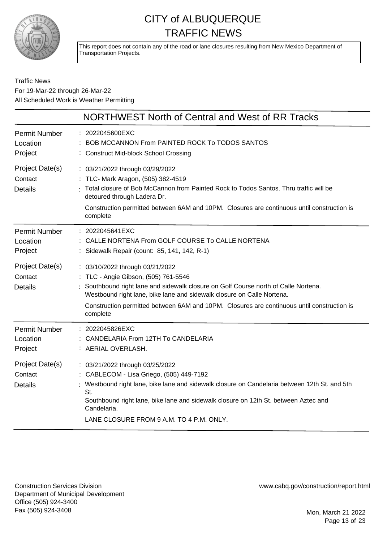

This report does not contain any of the road or lane closures resulting from New Mexico Department of Transportation Projects.

Traffic News For 19-Mar-22 through 26-Mar-22 All Scheduled Work is Weather Permitting

|                                              | NORTHWEST North of Central and West of RR Tracks                                                                                                                                                                                                                                                                                                   |
|----------------------------------------------|----------------------------------------------------------------------------------------------------------------------------------------------------------------------------------------------------------------------------------------------------------------------------------------------------------------------------------------------------|
| <b>Permit Number</b><br>Location<br>Project  | : 2022045600EXC<br>BOB MCCANNON From PAINTED ROCK To TODOS SANTOS<br>: Construct Mid-block School Crossing                                                                                                                                                                                                                                         |
| Project Date(s)<br>Contact<br><b>Details</b> | : 03/21/2022 through 03/29/2022<br>: TLC- Mark Aragon, (505) 382-4519<br>: Total closure of Bob McCannon from Painted Rock to Todos Santos. Thru traffic will be<br>detoured through Ladera Dr.<br>Construction permitted between 6AM and 10PM. Closures are continuous until construction is<br>complete                                          |
| <b>Permit Number</b><br>Location<br>Project  | : 2022045641EXC<br>CALLE NORTENA From GOLF COURSE To CALLE NORTENA<br>Sidewalk Repair (count: 85, 141, 142, R-1)                                                                                                                                                                                                                                   |
| Project Date(s)<br>Contact<br><b>Details</b> | : 03/10/2022 through 03/21/2022<br>: TLC - Angie Gibson, (505) 761-5546<br>: Southbound right lane and sidewalk closure on Golf Course north of Calle Nortena.<br>Westbound right lane, bike lane and sidewalk closure on Calle Nortena.<br>Construction permitted between 6AM and 10PM. Closures are continuous until construction is<br>complete |
| <b>Permit Number</b><br>Location<br>Project  | : 2022045826EXC<br>CANDELARIA From 12TH To CANDELARIA<br>: AERIAL OVERLASH.                                                                                                                                                                                                                                                                        |
| Project Date(s)<br>Contact<br><b>Details</b> | : 03/21/2022 through 03/25/2022<br>: CABLECOM - Lisa Griego, (505) 449-7192<br>Westbound right lane, bike lane and sidewalk closure on Candelaria between 12th St. and 5th<br>St.<br>Southbound right lane, bike lane and sidewalk closure on 12th St. between Aztec and<br>Candelaria.<br>LANE CLOSURE FROM 9 A.M. TO 4 P.M. ONLY.                |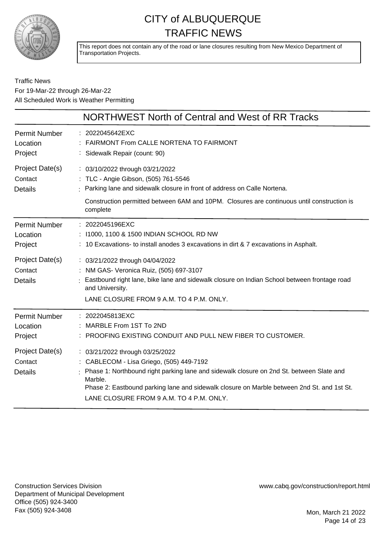

This report does not contain any of the road or lane closures resulting from New Mexico Department of Transportation Projects.

### Traffic News For 19-Mar-22 through 26-Mar-22 All Scheduled Work is Weather Permitting

|                                              | NORTHWEST North of Central and West of RR Tracks                                                                                                                                                                                                                                                                               |
|----------------------------------------------|--------------------------------------------------------------------------------------------------------------------------------------------------------------------------------------------------------------------------------------------------------------------------------------------------------------------------------|
| <b>Permit Number</b><br>Location<br>Project  | : 2022045642EXC<br>: FAIRMONT From CALLE NORTENA TO FAIRMONT<br>: Sidewalk Repair (count: 90)                                                                                                                                                                                                                                  |
| Project Date(s)<br>Contact<br><b>Details</b> | : 03/10/2022 through 03/21/2022<br>: TLC - Angie Gibson, (505) 761-5546<br>: Parking lane and sidewalk closure in front of address on Calle Nortena.<br>Construction permitted between 6AM and 10PM. Closures are continuous until construction is<br>complete                                                                 |
| <b>Permit Number</b><br>Location<br>Project  | : 2022045196EXC<br>: 11000, 1100 & 1500 INDIAN SCHOOL RD NW<br>: 10 Excavations- to install anodes 3 excavations in dirt & 7 excavations in Asphalt.                                                                                                                                                                           |
| Project Date(s)<br>Contact<br><b>Details</b> | : 03/21/2022 through 04/04/2022<br>: NM GAS- Veronica Ruiz, (505) 697-3107<br>: Eastbound right lane, bike lane and sidewalk closure on Indian School between frontage road<br>and University.<br>LANE CLOSURE FROM 9 A.M. TO 4 P.M. ONLY.                                                                                     |
| <b>Permit Number</b><br>Location<br>Project  | : 2022045813EXC<br>: MARBLE From 1ST To 2ND<br>: PROOFING EXISTING CONDUIT AND PULL NEW FIBER TO CUSTOMER.                                                                                                                                                                                                                     |
| Project Date(s)<br>Contact<br><b>Details</b> | : 03/21/2022 through 03/25/2022<br>: CABLECOM - Lisa Griego, (505) 449-7192<br>: Phase 1: Northbound right parking lane and sidewalk closure on 2nd St. between Slate and<br>Marble.<br>Phase 2: Eastbound parking lane and sidewalk closure on Marble between 2nd St. and 1st St.<br>LANE CLOSURE FROM 9 A.M. TO 4 P.M. ONLY. |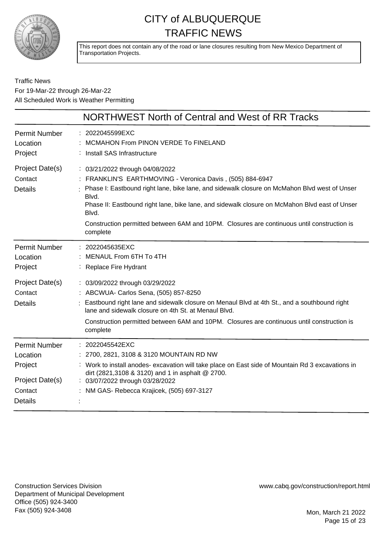

This report does not contain any of the road or lane closures resulting from New Mexico Department of Transportation Projects.

Traffic News For 19-Mar-22 through 26-Mar-22 All Scheduled Work is Weather Permitting

|                                              | NORTHWEST North of Central and West of RR Tracks                                                                                                                                                                                                                                                                                                                                                                            |
|----------------------------------------------|-----------------------------------------------------------------------------------------------------------------------------------------------------------------------------------------------------------------------------------------------------------------------------------------------------------------------------------------------------------------------------------------------------------------------------|
| <b>Permit Number</b>                         | : 2022045599EXC                                                                                                                                                                                                                                                                                                                                                                                                             |
| Location                                     | MCMAHON From PINON VERDE To FINELAND                                                                                                                                                                                                                                                                                                                                                                                        |
| Project                                      | Install SAS Infrastructure                                                                                                                                                                                                                                                                                                                                                                                                  |
| Project Date(s)<br>Contact<br><b>Details</b> | : 03/21/2022 through 04/08/2022<br>: FRANKLIN'S EARTHMOVING - Veronica Davis, (505) 884-6947<br>: Phase I: Eastbound right lane, bike lane, and sidewalk closure on McMahon Blvd west of Unser<br>Blvd.<br>Phase II: Eastbound right lane, bike lane, and sidewalk closure on McMahon Blvd east of Unser<br>Blvd.<br>Construction permitted between 6AM and 10PM. Closures are continuous until construction is<br>complete |
| <b>Permit Number</b>                         | : 2022045635EXC                                                                                                                                                                                                                                                                                                                                                                                                             |
| Location                                     | : MENAUL From 6TH To 4TH                                                                                                                                                                                                                                                                                                                                                                                                    |
| Project                                      | <b>Replace Fire Hydrant</b>                                                                                                                                                                                                                                                                                                                                                                                                 |
| Project Date(s)                              | : 03/09/2022 through 03/29/2022                                                                                                                                                                                                                                                                                                                                                                                             |
| Contact<br><b>Details</b>                    | : ABCWUA- Carlos Sena, (505) 857-8250<br>Eastbound right lane and sidewalk closure on Menaul Blvd at 4th St., and a southbound right<br>lane and sidewalk closure on 4th St. at Menaul Blvd.<br>Construction permitted between 6AM and 10PM. Closures are continuous until construction is<br>complete                                                                                                                      |
| <b>Permit Number</b>                         | : 2022045542EXC                                                                                                                                                                                                                                                                                                                                                                                                             |
| Location                                     | : 2700, 2821, 3108 & 3120 MOUNTAIN RD NW                                                                                                                                                                                                                                                                                                                                                                                    |
| Project                                      | : Work to install anodes- excavation will take place on East side of Mountain Rd 3 excavations in                                                                                                                                                                                                                                                                                                                           |
| Project Date(s)                              | dirt (2821,3108 & 3120) and 1 in asphalt @ 2700.                                                                                                                                                                                                                                                                                                                                                                            |
| Contact                                      | : 03/07/2022 through 03/28/2022                                                                                                                                                                                                                                                                                                                                                                                             |
| <b>Details</b>                               | : NM GAS- Rebecca Krajicek, (505) 697-3127                                                                                                                                                                                                                                                                                                                                                                                  |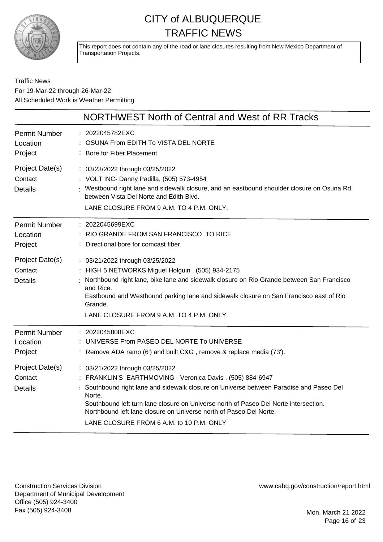

This report does not contain any of the road or lane closures resulting from New Mexico Department of Transportation Projects.

### Traffic News For 19-Mar-22 through 26-Mar-22 All Scheduled Work is Weather Permitting

|                                              | NORTHWEST North of Central and West of RR Tracks                                                                                                                                                                                                                                                                                                                                                          |
|----------------------------------------------|-----------------------------------------------------------------------------------------------------------------------------------------------------------------------------------------------------------------------------------------------------------------------------------------------------------------------------------------------------------------------------------------------------------|
| <b>Permit Number</b><br>Location<br>Project  | : 2022045782EXC<br>OSUNA From EDITH To VISTA DEL NORTE<br>: Bore for Fiber Placement                                                                                                                                                                                                                                                                                                                      |
| Project Date(s)<br>Contact<br><b>Details</b> | : 03/23/2022 through 03/25/2022<br>: VOLT INC- Danny Padilla, (505) 573-4954<br>: Westbound right lane and sidewalk closure, and an eastbound shoulder closure on Osuna Rd.<br>between Vista Del Norte and Edith Blvd.<br>LANE CLOSURE FROM 9 A.M. TO 4 P.M. ONLY.                                                                                                                                        |
| <b>Permit Number</b><br>Location<br>Project  | : 2022045699EXC<br>RIO GRANDE FROM SAN FRANCISCO TO RICE<br>: Directional bore for comcast fiber.                                                                                                                                                                                                                                                                                                         |
| Project Date(s)<br>Contact<br><b>Details</b> | : 03/21/2022 through 03/25/2022<br>: HIGH 5 NETWORKS Miguel Holguin, (505) 934-2175<br>Northbound right lane, bike lane and sidewalk closure on Rio Grande between San Francisco<br>and Rice.<br>Eastbound and Westbound parking lane and sidewalk closure on San Francisco east of Rio<br>Grande.<br>LANE CLOSURE FROM 9 A.M. TO 4 P.M. ONLY.                                                            |
| <b>Permit Number</b><br>Location<br>Project  | : 2022045808EXC<br>: UNIVERSE From PASEO DEL NORTE To UNIVERSE<br>Remove ADA ramp (6') and built C&G, remove & replace media (73').                                                                                                                                                                                                                                                                       |
| Project Date(s)<br>Contact<br><b>Details</b> | : 03/21/2022 through 03/25/2022<br>: FRANKLIN'S EARTHMOVING - Veronica Davis, (505) 884-6947<br>Southbound right lane and sidewalk closure on Universe between Paradise and Paseo Del<br>Norte.<br>Southbound left turn lane closure on Universe north of Paseo Del Norte intersection.<br>Northbound left lane closure on Universe north of Paseo Del Norte.<br>LANE CLOSURE FROM 6 A.M. to 10 P.M. ONLY |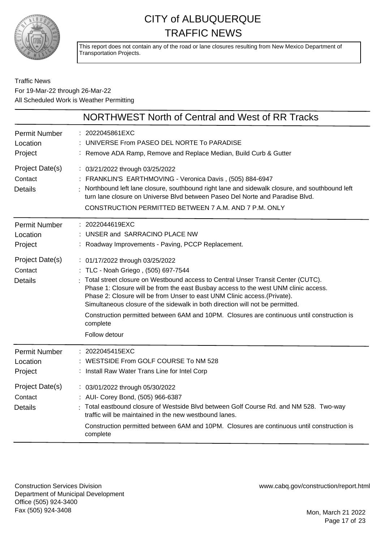

This report does not contain any of the road or lane closures resulting from New Mexico Department of Transportation Projects.

### Traffic News For 19-Mar-22 through 26-Mar-22 All Scheduled Work is Weather Permitting

|                                              | NORTHWEST North of Central and West of RR Tracks                                                                                                                                                                                                                                                                                                                                                                                                                                                                                           |
|----------------------------------------------|--------------------------------------------------------------------------------------------------------------------------------------------------------------------------------------------------------------------------------------------------------------------------------------------------------------------------------------------------------------------------------------------------------------------------------------------------------------------------------------------------------------------------------------------|
| <b>Permit Number</b><br>Location<br>Project  | 2022045861EXC<br>UNIVERSE From PASEO DEL NORTE To PARADISE<br>: Remove ADA Ramp, Remove and Replace Median, Build Curb & Gutter                                                                                                                                                                                                                                                                                                                                                                                                            |
| Project Date(s)<br>Contact<br><b>Details</b> | : 03/21/2022 through 03/25/2022<br>: FRANKLIN'S EARTHMOVING - Veronica Davis, (505) 884-6947<br>Northbound left lane closure, southbound right lane and sidewalk closure, and southbound left<br>turn lane closure on Universe Blvd between Paseo Del Norte and Paradise Blvd.<br>CONSTRUCTION PERMITTED BETWEEN 7 A.M. AND 7 P.M. ONLY                                                                                                                                                                                                    |
| <b>Permit Number</b><br>Location<br>Project  | : 2022044619EXC<br>UNSER and SARRACINO PLACE NW<br>Roadway Improvements - Paving, PCCP Replacement.                                                                                                                                                                                                                                                                                                                                                                                                                                        |
| Project Date(s)<br>Contact<br><b>Details</b> | : 01/17/2022 through 03/25/2022<br>: TLC - Noah Griego, (505) 697-7544<br>Total street closure on Westbound access to Central Unser Transit Center (CUTC).<br>Phase 1: Closure will be from the east Busbay access to the west UNM clinic access.<br>Phase 2: Closure will be from Unser to east UNM Clinic access. (Private).<br>Simultaneous closure of the sidewalk in both direction will not be permitted.<br>Construction permitted between 6AM and 10PM. Closures are continuous until construction is<br>complete<br>Follow detour |
| <b>Permit Number</b><br>Location<br>Project  | 2022045415EXC<br>: WESTSIDE From GOLF COURSE To NM 528<br>: Install Raw Water Trans Line for Intel Corp                                                                                                                                                                                                                                                                                                                                                                                                                                    |
| Project Date(s)<br>Contact<br><b>Details</b> | : 03/01/2022 through 05/30/2022<br>: AUI- Corey Bond, (505) 966-6387<br>Total eastbound closure of Westside Blvd between Golf Course Rd. and NM 528. Two-way<br>traffic will be maintained in the new westbound lanes.<br>Construction permitted between 6AM and 10PM. Closures are continuous until construction is<br>complete                                                                                                                                                                                                           |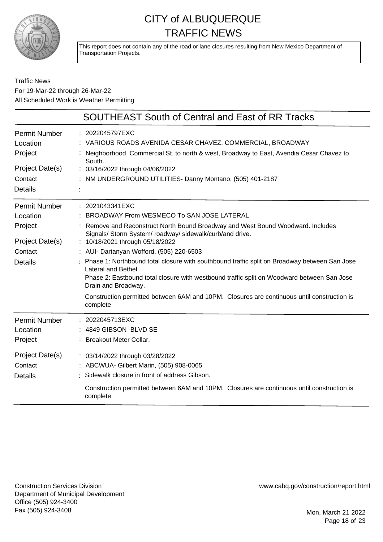

This report does not contain any of the road or lane closures resulting from New Mexico Department of Transportation Projects.

### Traffic News For 19-Mar-22 through 26-Mar-22 All Scheduled Work is Weather Permitting

|                                              | <b>SOUTHEAST South of Central and East of RR Tracks</b>                                                                                                                                                                                    |
|----------------------------------------------|--------------------------------------------------------------------------------------------------------------------------------------------------------------------------------------------------------------------------------------------|
| Permit Number<br>Location<br>Project         | : 2022045797EXC<br>: VARIOUS ROADS AVENIDA CESAR CHAVEZ, COMMERCIAL, BROADWAY<br>: Neighborhood. Commercial St. to north & west, Broadway to East, Avendia Cesar Chavez to<br>South.                                                       |
| Project Date(s)                              | : 03/16/2022 through 04/06/2022                                                                                                                                                                                                            |
| Contact                                      | : NM UNDERGROUND UTILITIES- Danny Montano, (505) 401-2187                                                                                                                                                                                  |
| <b>Details</b>                               |                                                                                                                                                                                                                                            |
| <b>Permit Number</b>                         | $: 2021043341$ EXC                                                                                                                                                                                                                         |
| Location                                     | BROADWAY From WESMECO To SAN JOSE LATERAL                                                                                                                                                                                                  |
| Project                                      | : Remove and Reconstruct North Bound Broadway and West Bound Woodward. Includes<br>Signals/ Storm System/ roadway/ sidewalk/curb/and drive.                                                                                                |
| Project Date(s)                              | : 10/18/2021 through 05/18/2022                                                                                                                                                                                                            |
| Contact                                      | : AUI- Dartanyan Wofford, (505) 220-6503                                                                                                                                                                                                   |
| <b>Details</b>                               | : Phase 1: Northbound total closure with southbound traffic split on Broadway between San Jose<br>Lateral and Bethel.<br>Phase 2: Eastbound total closure with westbound traffic split on Woodward between San Jose<br>Drain and Broadway. |
|                                              | Construction permitted between 6AM and 10PM. Closures are continuous until construction is<br>complete                                                                                                                                     |
| Permit Number<br>Location<br>Project         | : 2022045713EXC<br>4849 GIBSON BLVD SE<br>: Breakout Meter Collar.                                                                                                                                                                         |
| Project Date(s)<br>Contact<br><b>Details</b> | : 03/14/2022 through 03/28/2022<br>: ABCWUA- Gilbert Marin, (505) 908-0065<br>: Sidewalk closure in front of address Gibson.<br>Construction permitted between 6AM and 10PM. Closures are continuous until construction is<br>complete     |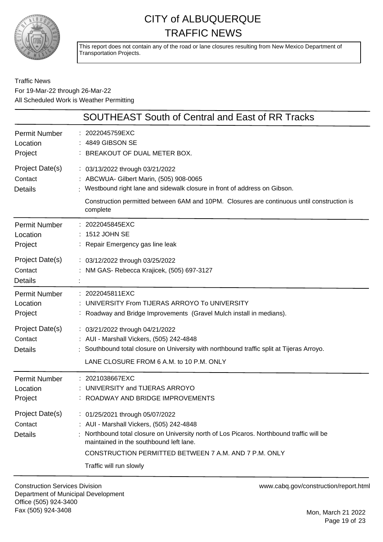

This report does not contain any of the road or lane closures resulting from New Mexico Department of Transportation Projects.

Traffic News For 19-Mar-22 through 26-Mar-22 All Scheduled Work is Weather Permitting

|                                              | <b>SOUTHEAST South of Central and East of RR Tracks</b>                                                                                                                                                                                                                                               |
|----------------------------------------------|-------------------------------------------------------------------------------------------------------------------------------------------------------------------------------------------------------------------------------------------------------------------------------------------------------|
| <b>Permit Number</b><br>Location<br>Project  | : 2022045759EXC<br>: 4849 GIBSON SE<br>: BREAKOUT OF DUAL METER BOX.                                                                                                                                                                                                                                  |
| Project Date(s)<br>Contact<br><b>Details</b> | : 03/13/2022 through 03/21/2022<br>: ABCWUA- Gilbert Marin, (505) 908-0065<br>Westbound right lane and sidewalk closure in front of address on Gibson.<br>Construction permitted between 6AM and 10PM. Closures are continuous until construction is<br>complete                                      |
| Permit Number<br>Location<br>Project         | : 2022045845EXC<br>: 1512 JOHN SE<br>: Repair Emergency gas line leak                                                                                                                                                                                                                                 |
| Project Date(s)<br>Contact<br><b>Details</b> | : 03/12/2022 through 03/25/2022<br>: NM GAS- Rebecca Krajicek, (505) 697-3127                                                                                                                                                                                                                         |
| <b>Permit Number</b><br>Location<br>Project  | : 2022045811EXC<br>: UNIVERSITY From TIJERAS ARROYO To UNIVERSITY<br>: Roadway and Bridge Improvements (Gravel Mulch install in medians).                                                                                                                                                             |
| Project Date(s)<br>Contact<br><b>Details</b> | : 03/21/2022 through 04/21/2022<br>: AUI - Marshall Vickers, (505) 242-4848<br>: Southbound total closure on University with northbound traffic split at Tijeras Arroyo.<br>LANE CLOSURE FROM 6 A.M. to 10 P.M. ONLY                                                                                  |
| Permit Number<br>Location<br>Project         | : 2021038667EXC<br>: UNIVERSITY and TIJERAS ARROYO<br>ROADWAY AND BRIDGE IMPROVEMENTS                                                                                                                                                                                                                 |
| Project Date(s)<br>Contact<br><b>Details</b> | : 01/25/2021 through 05/07/2022<br>: AUI - Marshall Vickers, (505) 242-4848<br>Northbound total closure on University north of Los Picaros. Northbound traffic will be<br>maintained in the southbound left lane.<br>CONSTRUCTION PERMITTED BETWEEN 7 A.M. AND 7 P.M. ONLY<br>Traffic will run slowly |

Construction Services Division Department of Municipal Development Office (505) 924-3400 Fax (505) 924-3408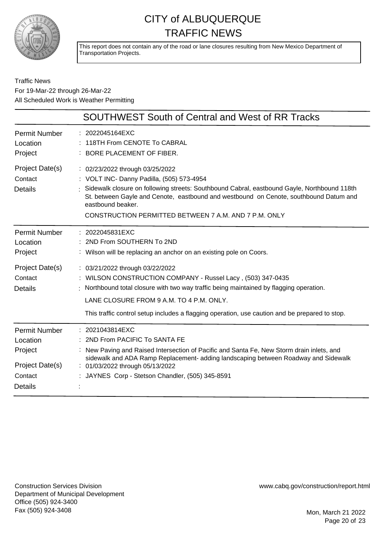

This report does not contain any of the road or lane closures resulting from New Mexico Department of Transportation Projects.

Traffic News For 19-Mar-22 through 26-Mar-22 All Scheduled Work is Weather Permitting

|                                              | <b>SOUTHWEST South of Central and West of RR Tracks</b>                                                                                                                                                                                                                                                                                            |
|----------------------------------------------|----------------------------------------------------------------------------------------------------------------------------------------------------------------------------------------------------------------------------------------------------------------------------------------------------------------------------------------------------|
| <b>Permit Number</b>                         | 2022045164EXC                                                                                                                                                                                                                                                                                                                                      |
| Location                                     | 118TH From CENOTE To CABRAL                                                                                                                                                                                                                                                                                                                        |
| Project                                      | BORE PLACEMENT OF FIBER.                                                                                                                                                                                                                                                                                                                           |
| Project Date(s)<br>Contact<br><b>Details</b> | : 02/23/2022 through 03/25/2022<br>: VOLT INC- Danny Padilla, (505) 573-4954<br>Sidewalk closure on following streets: Southbound Cabral, eastbound Gayle, Northbound 118th<br>St. between Gayle and Cenote, eastbound and westbound on Cenote, southbound Datum and<br>eastbound beaker.<br>CONSTRUCTION PERMITTED BETWEEN 7 A.M. AND 7 P.M. ONLY |
| <b>Permit Number</b>                         | : 2022045831EXC                                                                                                                                                                                                                                                                                                                                    |
| Location                                     | 2ND From SOUTHERN To 2ND                                                                                                                                                                                                                                                                                                                           |
| Project                                      | : Wilson will be replacing an anchor on an existing pole on Coors.                                                                                                                                                                                                                                                                                 |
| Project Date(s)<br>Contact<br>Details        | : 03/21/2022 through 03/22/2022<br>: WILSON CONSTRUCTION COMPANY - Russel Lacy, (503) 347-0435<br>Northbound total closure with two way traffic being maintained by flagging operation.<br>LANE CLOSURE FROM 9 A.M. TO 4 P.M. ONLY.<br>This traffic control setup includes a flagging operation, use caution and be prepared to stop.              |
| <b>Permit Number</b>                         | 2021043814EXC                                                                                                                                                                                                                                                                                                                                      |
| Location                                     | 2ND From PACIFIC To SANTA FE                                                                                                                                                                                                                                                                                                                       |
| Project                                      | New Paving and Raised Intersection of Pacific and Santa Fe, New Storm drain inlets, and                                                                                                                                                                                                                                                            |
| Project Date(s)                              | sidewalk and ADA Ramp Replacement- adding landscaping between Roadway and Sidewalk                                                                                                                                                                                                                                                                 |
| Contact                                      | : 01/03/2022 through 05/13/2022                                                                                                                                                                                                                                                                                                                    |
| <b>Details</b>                               | JAYNES Corp - Stetson Chandler, (505) 345-8591                                                                                                                                                                                                                                                                                                     |

Construction Services Division Department of Municipal Development Office (505) 924-3400 Fax (505) 924-3408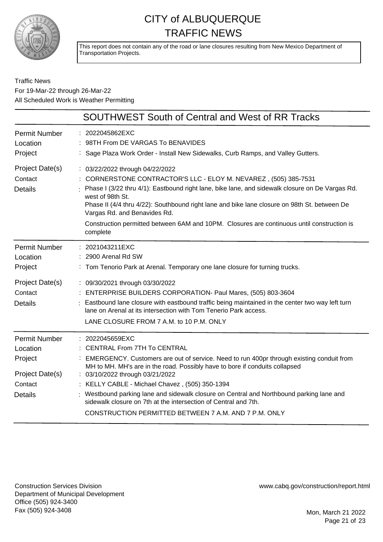

This report does not contain any of the road or lane closures resulting from New Mexico Department of Transportation Projects.

### Traffic News For 19-Mar-22 through 26-Mar-22 All Scheduled Work is Weather Permitting

|                                                                                             | SOUTHWEST South of Central and West of RR Tracks                                                                                                                                                                                                                                                                                                                                                                                                                                                                                           |
|---------------------------------------------------------------------------------------------|--------------------------------------------------------------------------------------------------------------------------------------------------------------------------------------------------------------------------------------------------------------------------------------------------------------------------------------------------------------------------------------------------------------------------------------------------------------------------------------------------------------------------------------------|
| <b>Permit Number</b><br>Location<br>Project                                                 | : 2022045862EXC<br>98TH From DE VARGAS To BENAVIDES<br>Sage Plaza Work Order - Install New Sidewalks, Curb Ramps, and Valley Gutters.                                                                                                                                                                                                                                                                                                                                                                                                      |
| Project Date(s)<br>Contact<br><b>Details</b>                                                | : 03/22/2022 through 04/22/2022<br>: CORNERSTONE CONTRACTOR'S LLC - ELOY M. NEVAREZ , (505) 385-7531<br>: Phase I (3/22 thru 4/1): Eastbound right lane, bike lane, and sidewalk closure on De Vargas Rd.<br>west of 98th St.<br>Phase II (4/4 thru 4/22): Southbound right lane and bike lane closure on 98th St. between De<br>Vargas Rd. and Benavides Rd.<br>Construction permitted between 6AM and 10PM. Closures are continuous until construction is<br>complete                                                                    |
| <b>Permit Number</b><br>Location<br>Project                                                 | : 2021043211EXC<br>: 2900 Arenal Rd SW<br>: Tom Tenorio Park at Arenal. Temporary one lane closure for turning trucks.                                                                                                                                                                                                                                                                                                                                                                                                                     |
| Project Date(s)<br>Contact<br><b>Details</b>                                                | : 09/30/2021 through 03/30/2022<br>: ENTERPRISE BUILDERS CORPORATION- Paul Mares, (505) 803-3604<br>: Eastbound lane closure with eastbound traffic being maintained in the center two way left turn<br>lane on Arenal at its intersection with Tom Tenerio Park access.<br>LANE CLOSURE FROM 7 A.M. to 10 P.M. ONLY                                                                                                                                                                                                                       |
| <b>Permit Number</b><br>Location<br>Project<br>Project Date(s)<br>Contact<br><b>Details</b> | : 2022045659EXC<br>: CENTRAL From 7TH To CENTRAL<br>: EMERGENCY. Customers are out of service. Need to run 400pr through existing conduit from<br>MH to MH. MH's are in the road. Possibly have to bore if conduits collapsed<br>: 03/10/2022 through 03/21/2022<br>: KELLY CABLE - Michael Chavez, (505) 350-1394<br>: Westbound parking lane and sidewalk closure on Central and Northbound parking lane and<br>sidewalk closure on 7th at the intersection of Central and 7th.<br>CONSTRUCTION PERMITTED BETWEEN 7 A.M. AND 7 P.M. ONLY |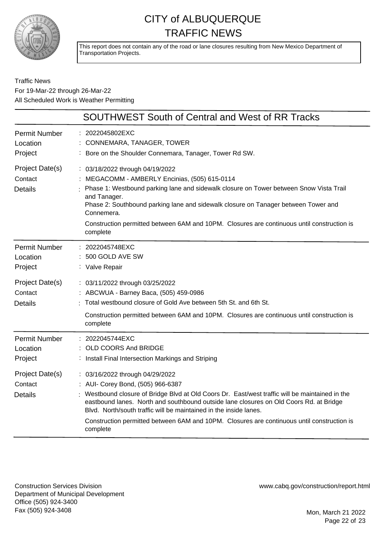

This report does not contain any of the road or lane closures resulting from New Mexico Department of Transportation Projects.

Traffic News For 19-Mar-22 through 26-Mar-22 All Scheduled Work is Weather Permitting

|                                                                                             | <b>SOUTHWEST South of Central and West of RR Tracks</b>                                                                                                                                                                                                                                                                                                                                                                                          |
|---------------------------------------------------------------------------------------------|--------------------------------------------------------------------------------------------------------------------------------------------------------------------------------------------------------------------------------------------------------------------------------------------------------------------------------------------------------------------------------------------------------------------------------------------------|
| <b>Permit Number</b><br>Location<br>Project                                                 | 2022045802EXC<br>CONNEMARA, TANAGER, TOWER<br>Bore on the Shoulder Connemara, Tanager, Tower Rd SW.                                                                                                                                                                                                                                                                                                                                              |
| Project Date(s)<br>Contact<br><b>Details</b>                                                | : 03/18/2022 through 04/19/2022<br>MEGACOMM - AMBERLY Encinias, (505) 615-0114<br>Phase 1: Westbound parking lane and sidewalk closure on Tower between Snow Vista Trail<br>and Tanager.<br>Phase 2: Southbound parking lane and sidewalk closure on Tanager between Tower and<br>Connemera.<br>Construction permitted between 6AM and 10PM. Closures are continuous until construction is<br>complete                                           |
| <b>Permit Number</b><br>Location<br>Project<br>Project Date(s)<br>Contact<br><b>Details</b> | : 2022045748EXC<br>500 GOLD AVE SW<br>: Valve Repair<br>: 03/11/2022 through 03/25/2022<br>: ABCWUA - Barney Baca, (505) 459-0986<br>: Total westbound closure of Gold Ave between 5th St. and 6th St.                                                                                                                                                                                                                                           |
|                                                                                             | Construction permitted between 6AM and 10PM. Closures are continuous until construction is<br>complete                                                                                                                                                                                                                                                                                                                                           |
| <b>Permit Number</b><br>Location<br>Project                                                 | : 2022045744EXC<br>OLD COORS And BRIDGE<br>: Install Final Intersection Markings and Striping                                                                                                                                                                                                                                                                                                                                                    |
| Project Date(s)<br>Contact<br><b>Details</b>                                                | : 03/16/2022 through 04/29/2022<br>: AUI- Corey Bond, (505) 966-6387<br>: Westbound closure of Bridge Blvd at Old Coors Dr. East/west traffic will be maintained in the<br>eastbound lanes. North and southbound outside lane closures on Old Coors Rd. at Bridge<br>Blvd. North/south traffic will be maintained in the inside lanes.<br>Construction permitted between 6AM and 10PM. Closures are continuous until construction is<br>complete |